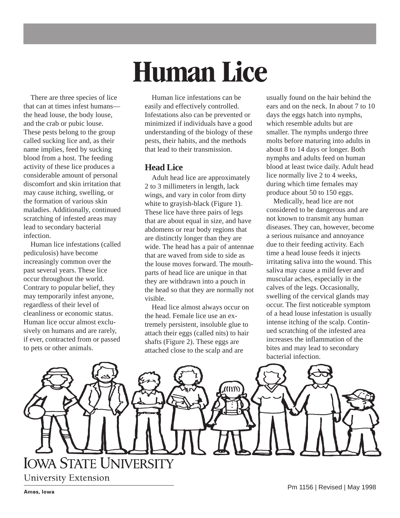# **Human Lice**

There are three species of lice that can at times infest humans the head louse, the body louse, and the crab or pubic louse. These pests belong to the group called sucking lice and, as their name implies, feed by sucking blood from a host. The feeding activity of these lice produces a considerable amount of personal discomfort and skin irritation that may cause itching, swelling, or the formation of various skin maladies. Additionally, continued scratching of infested areas may lead to secondary bacterial infection.

Human lice infestations (called pediculosis) have become increasingly common over the past several years. These lice occur throughout the world. Contrary to popular belief, they may temporarily infest anyone, regardless of their level of cleanliness or economic status. Human lice occur almost exclusively on humans and are rarely, if ever, contracted from or passed to pets or other animals.

Human lice infestations can be easily and effectively controlled. Infestations also can be prevented or minimized if individuals have a good understanding of the biology of these pests, their habits, and the methods that lead to their transmission.

## **Head Lice**

Adult head lice are approximately 2 to 3 millimeters in length, lack wings, and vary in color from dirty white to grayish-black (Figure 1). These lice have three pairs of legs that are about equal in size, and have abdomens or rear body regions that are distinctly longer than they are wide. The head has a pair of antennae that are waved from side to side as the louse moves forward. The mouthparts of head lice are unique in that they are withdrawn into a pouch in the head so that they are normally not visible.

Head lice almost always occur on the head. Female lice use an extremely persistent, insoluble glue to attach their eggs (called nits) to hair shafts (Figure 2). These eggs are attached close to the scalp and are

usually found on the hair behind the ears and on the neck. In about 7 to 10 days the eggs hatch into nymphs, which resemble adults but are smaller. The nymphs undergo three molts before maturing into adults in about 8 to 14 days or longer. Both nymphs and adults feed on human blood at least twice daily. Adult head lice normally live 2 to 4 weeks, during which time females may produce about 50 to 150 eggs.

Medically, head lice are not considered to be dangerous and are not known to transmit any human diseases. They can, however, become a serious nuisance and annoyance due to their feeding activity. Each time a head louse feeds it injects irritating saliva into the wound. This saliva may cause a mild fever and muscular aches, especially in the calves of the legs. Occasionally, swelling of the cervical glands may occur. The first noticeable symptom of a head louse infestation is usually intense itching of the scalp. Continued scratching of the infested area increases the inflammation of the bites and may lead to secondary bacterial infection.

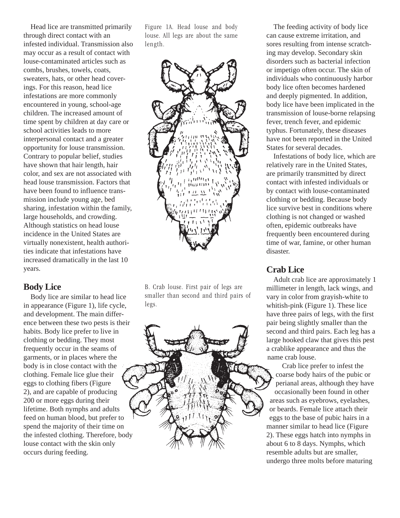Head lice are transmitted primarily through direct contact with an infested individual. Transmission also may occur as a result of contact with louse-contaminated articles such as combs, brushes, towels, coats, sweaters, hats, or other head coverings. For this reason, head lice infestations are more commonly encountered in young, school-age children. The increased amount of time spent by children at day care or school activities leads to more interpersonal contact and a greater opportunity for louse transmission. Contrary to popular belief, studies have shown that hair length, hair color, and sex are not associated with head louse transmission. Factors that have been found to influence transmission include young age, bed sharing, infestation within the family, large households, and crowding. Although statistics on head louse incidence in the United States are virtually nonexistent, health authorities indicate that infestations have increased dramatically in the last 10 years.

## **Body Lice**

Body lice are similar to head lice in appearance (Figure 1), life cycle, and development. The main difference between these two pests is their habits. Body lice prefer to live in clothing or bedding. They most frequently occur in the seams of garments, or in places where the body is in close contact with the clothing. Female lice glue their eggs to clothing fibers (Figure 2), and are capable of producing 200 or more eggs during their lifetime. Both nymphs and adults feed on human blood, but prefer to spend the majority of their time on the infested clothing. Therefore, body louse contact with the skin only occurs during feeding.

Figure 1A. Head louse and body louse. All legs are about the same length.



B. Crab louse. First pair of legs are smaller than second and third pairs of legs.

The feeding activity of body lice can cause extreme irritation, and sores resulting from intense scratching may develop. Secondary skin disorders such as bacterial infection or impetigo often occur. The skin of individuals who continuously harbor body lice often becomes hardened and deeply pigmented. In addition, body lice have been implicated in the transmission of louse-borne relapsing fever, trench fever, and epidemic typhus. Fortunately, these diseases have not been reported in the United States for several decades.

Infestations of body lice, which are relatively rare in the United States, are primarily transmitted by direct contact with infested individuals or by contact with louse-contaminated clothing or bedding. Because body lice survive best in conditions where clothing is not changed or washed often, epidemic outbreaks have frequently been encountered during time of war, famine, or other human disaster.

## **Crab Lice**

Adult crab lice are approximately 1 millimeter in length, lack wings, and vary in color from grayish-white to whitish-pink (Figure 1). These lice have three pairs of legs, with the first pair being slightly smaller than the second and third pairs. Each leg has a large hooked claw that gives this pest a crablike appearance and thus the name crab louse.

Crab lice prefer to infest the coarse body hairs of the pubic or perianal areas, although they have occasionally been found in other areas such as eyebrows, eyelashes, or beards. Female lice attach their eggs to the base of pubic hairs in a manner similar to head lice (Figure 2). These eggs hatch into nymphs in about 6 to 8 days. Nymphs, which resemble adults but are smaller, undergo three molts before maturing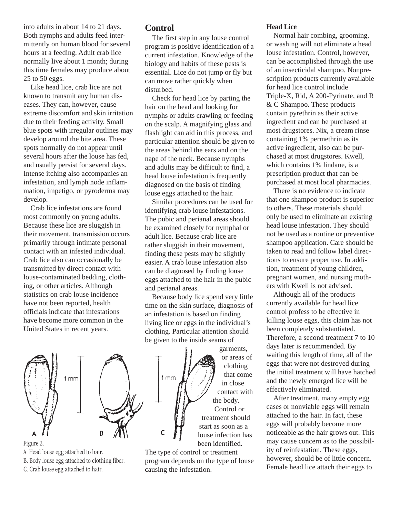into adults in about 14 to 21 days. Both nymphs and adults feed intermittently on human blood for several hours at a feeding. Adult crab lice normally live about 1 month; during this time females may produce about 25 to 50 eggs.

Like head lice, crab lice are not known to transmit any human diseases. They can, however, cause extreme discomfort and skin irritation due to their feeding activity. Small blue spots with irregular outlines may develop around the bite area. These spots normally do not appear until several hours after the louse has fed, and usually persist for several days. Intense itching also accompanies an infestation, and lymph node inflammation, impetigo, or pyroderma may develop.

Crab lice infestations are found most commonly on young adults. Because these lice are sluggish in their movement, transmission occurs primarily through intimate personal contact with an infested individual. Crab lice also can occasionally be transmitted by direct contact with louse-contaminated bedding, clothing, or other articles. Although statistics on crab louse incidence have not been reported, health officials indicate that infestations have become more common in the United States in recent years.

## **Control**

The first step in any louse control program is positive identification of a current infestation. Knowledge of the biology and habits of these pests is essential. Lice do not jump or fly but can move rather quickly when disturbed.

Check for head lice by parting the hair on the head and looking for nymphs or adults crawling or feeding on the scalp. A magnifying glass and flashlight can aid in this process, and particular attention should be given to the areas behind the ears and on the nape of the neck. Because nymphs and adults may be difficult to find, a head louse infestation is frequently diagnosed on the basis of finding louse eggs attached to the hair.

Similar procedures can be used for identifying crab louse infestations. The pubic and perianal areas should be examined closely for nymphal or adult lice. Because crab lice are rather sluggish in their movement, finding these pests may be slightly easier. A crab louse infestation also can be diagnosed by finding louse eggs attached to the hair in the pubic and perianal areas.

Because body lice spend very little time on the skin surface, diagnosis of an infestation is based on finding living lice or eggs in the individual's clothing. Particular attention should be given to the inside seams of

 $1mm$ 



- Figure 2.
- A. Head louse egg attached to hair.
- B. Body louse egg attached to clothing fiber.
- C. Crab louse egg attached to hair.

garments, or areas of clothing that come in close contact with the body. Control or treatment should start as soon as a louse infection has been identified.

The type of control or treatment program depends on the type of louse causing the infestation.

#### **Head Lice**

Normal hair combing, grooming, or washing will not eliminate a head louse infestation. Control, however, can be accomplished through the use of an insecticidal shampoo. Nonprescription products currently available for head lice control include Triple-X, Rid, A 200-Pyrinate, and R & C Shampoo. These products contain pyrethrin as their active ingredient and can be purchased at most drugstores. Nix, a cream rinse containing 1% permethrin as its active ingredient, also can be purchased at most drugstores. Kwell, which contains 1% lindane, is a prescription product that can be purchased at most local pharmacies.

There is no evidence to indicate that one shampoo product is superior to others. These materials should only be used to eliminate an existing head louse infestation. They should not be used as a routine or preventive shampoo application. Care should be taken to read and follow label directions to ensure proper use. In addition, treatment of young children, pregnant women, and nursing mothers with Kwell is not advised.

Although all of the products currently available for head lice control profess to be effective in killing louse eggs, this claim has not been completely substantiated. Therefore, a second treatment 7 to 10 days later is recommended. By waiting this length of time, all of the eggs that were not destroyed during the initial treatment will have hatched and the newly emerged lice will be effectively eliminated.

After treatment, many empty egg cases or nonviable eggs will remain attached to the hair. In fact, these eggs will probably become more noticeable as the hair grows out. This may cause concern as to the possibility of reinfestation. These eggs, however, should be of little concern. Female head lice attach their eggs to